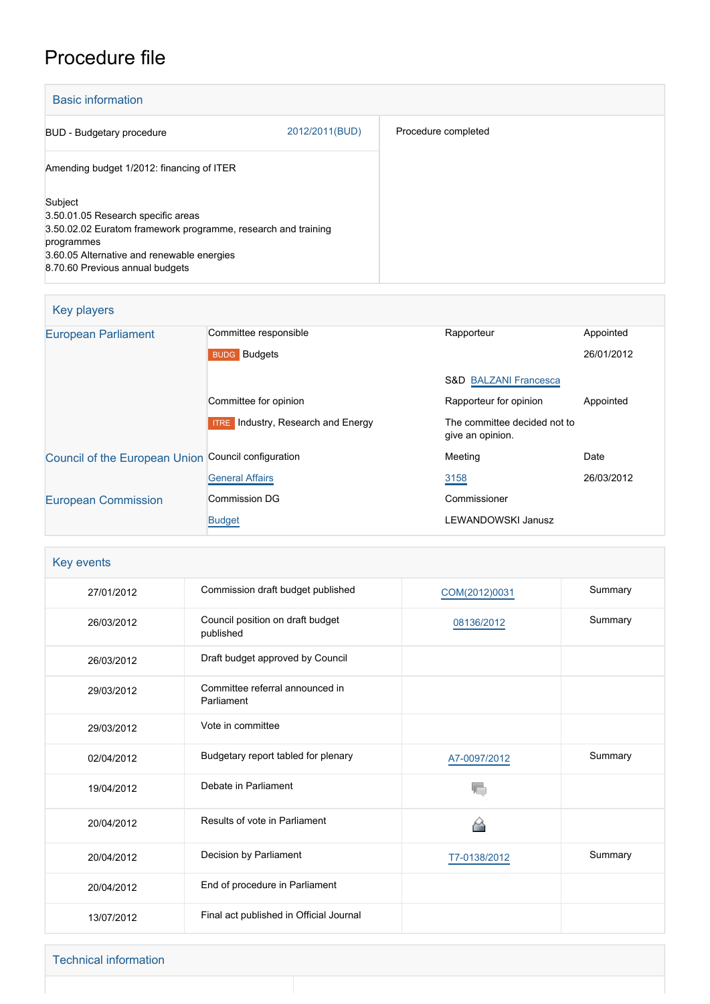# Procedure file

| <b>Basic information</b>                                                                                                                                                   |                |                     |
|----------------------------------------------------------------------------------------------------------------------------------------------------------------------------|----------------|---------------------|
| <b>BUD</b> - Budgetary procedure                                                                                                                                           | 2012/2011(BUD) | Procedure completed |
| Amending budget 1/2012: financing of ITER                                                                                                                                  |                |                     |
| Subject<br>3.50.01.05 Research specific areas<br>3.50.02.02 Euratom framework programme, research and training<br>programmes<br>3.60.05 Alternative and renewable energies |                |                     |
| 8.70.60 Previous annual budgets                                                                                                                                            |                |                     |

| Key players                                         |                                              |                                                  |            |  |  |
|-----------------------------------------------------|----------------------------------------------|--------------------------------------------------|------------|--|--|
| <b>European Parliament</b>                          | Committee responsible                        | Rapporteur                                       | Appointed  |  |  |
|                                                     | <b>BUDG</b> Budgets                          |                                                  | 26/01/2012 |  |  |
|                                                     |                                              | <b>S&amp;D BALZANI Francesca</b>                 |            |  |  |
|                                                     | Committee for opinion                        | Rapporteur for opinion                           | Appointed  |  |  |
|                                                     | Industry, Research and Energy<br><b>ITRE</b> | The committee decided not to<br>give an opinion. |            |  |  |
| Council of the European Union Council configuration |                                              | Meeting                                          | Date       |  |  |
|                                                     | <b>General Affairs</b>                       | 3158                                             | 26/03/2012 |  |  |
| <b>European Commission</b>                          | Commission DG                                | Commissioner                                     |            |  |  |
|                                                     | <b>Budget</b>                                | <b>LEWANDOWSKI Janusz</b>                        |            |  |  |

| Key events |                                               |               |         |  |
|------------|-----------------------------------------------|---------------|---------|--|
| 27/01/2012 | Commission draft budget published             | COM(2012)0031 | Summary |  |
| 26/03/2012 | Council position on draft budget<br>published | 08136/2012    | Summary |  |
| 26/03/2012 | Draft budget approved by Council              |               |         |  |
| 29/03/2012 | Committee referral announced in<br>Parliament |               |         |  |
| 29/03/2012 | Vote in committee                             |               |         |  |
| 02/04/2012 | Budgetary report tabled for plenary           | A7-0097/2012  | Summary |  |
| 19/04/2012 | Debate in Parliament                          |               |         |  |
| 20/04/2012 | Results of vote in Parliament                 |               |         |  |
| 20/04/2012 | Decision by Parliament                        | T7-0138/2012  | Summary |  |
| 20/04/2012 | End of procedure in Parliament                |               |         |  |
| 13/07/2012 | Final act published in Official Journal       |               |         |  |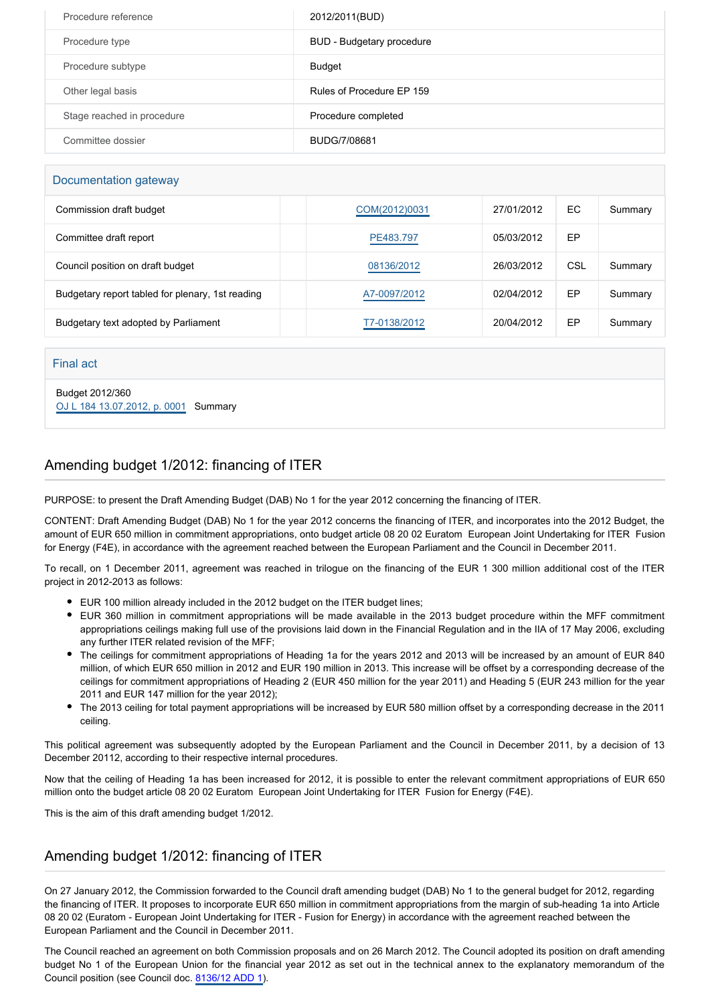| Procedure reference        | 2012/2011(BUD)            |
|----------------------------|---------------------------|
| Procedure type             | BUD - Budgetary procedure |
| Procedure subtype          | Budget                    |
| Other legal basis          | Rules of Procedure FP 159 |
| Stage reached in procedure | Procedure completed       |
| Committee dossier          | BUDG/7/08681              |

#### Documentation gateway

| Commission draft budget                          | COM(2012)0031 | 27/01/2012 | EC  | Summary |
|--------------------------------------------------|---------------|------------|-----|---------|
| Committee draft report                           | PE483.797     | 05/03/2012 | EP  |         |
| Council position on draft budget                 | 08136/2012    | 26/03/2012 | CSL | Summary |
| Budgetary report tabled for plenary, 1st reading | A7-0097/2012  | 02/04/2012 | EP  | Summary |
| Budgetary text adopted by Parliament             | T7-0138/2012  | 20/04/2012 | EP  | Summary |

#### Final act

Budget 2012/360 [OJ L 184 13.07.2012, p. 0001](https://eur-lex.europa.eu/legal-content/EN/TXT/?uri=OJ:L:2012:184:TOC) Summary

## Amending budget 1/2012: financing of ITER

PURPOSE: to present the Draft Amending Budget (DAB) No 1 for the year 2012 concerning the financing of ITER.

CONTENT: Draft Amending Budget (DAB) No 1 for the year 2012 concerns the financing of ITER, and incorporates into the 2012 Budget, the amount of EUR 650 million in commitment appropriations, onto budget article 08 20 02 Euratom European Joint Undertaking for ITER Fusion for Energy (F4E), in accordance with the agreement reached between the European Parliament and the Council in December 2011.

To recall, on 1 December 2011, agreement was reached in trilogue on the financing of the EUR 1 300 million additional cost of the ITER project in 2012-2013 as follows:

- EUR 100 million already included in the 2012 budget on the ITER budget lines;
- EUR 360 million in commitment appropriations will be made available in the 2013 budget procedure within the MFF commitment appropriations ceilings making full use of the provisions laid down in the Financial Regulation and in the IIA of 17 May 2006, excluding any further ITER related revision of the MFF;
- The ceilings for commitment appropriations of Heading 1a for the years 2012 and 2013 will be increased by an amount of EUR 840 million, of which EUR 650 million in 2012 and EUR 190 million in 2013. This increase will be offset by a corresponding decrease of the ceilings for commitment appropriations of Heading 2 (EUR 450 million for the year 2011) and Heading 5 (EUR 243 million for the year 2011 and EUR 147 million for the year 2012);
- The 2013 ceiling for total payment appropriations will be increased by EUR 580 million offset by a corresponding decrease in the 2011 ceiling.

This political agreement was subsequently adopted by the European Parliament and the Council in December 2011, by a decision of 13 December 20112, according to their respective internal procedures.

Now that the ceiling of Heading 1a has been increased for 2012, it is possible to enter the relevant commitment appropriations of EUR 650 million onto the budget article 08 20 02 Euratom European Joint Undertaking for ITER Fusion for Energy (F4E).

This is the aim of this draft amending budget 1/2012.

### Amending budget 1/2012: financing of ITER

On 27 January 2012, the Commission forwarded to the Council draft amending budget (DAB) No 1 to the general budget for 2012, regarding the financing of ITER. It proposes to incorporate EUR 650 million in commitment appropriations from the margin of sub-heading 1a into Article 08 20 02 (Euratom - European Joint Undertaking for ITER - Fusion for Energy) in accordance with the agreement reached between the European Parliament and the Council in December 2011.

The Council reached an agreement on both Commission proposals and on 26 March 2012. The Council adopted its position on draft amending budget No 1 of the European Union for the financial year 2012 as set out in the technical annex to the explanatory memorandum of the Council position (see Council doc. [8136/12 ADD 1](http://register.consilium.europa.eu/pdf/en/12/st08/st08136-ad01.en12.pdf)).